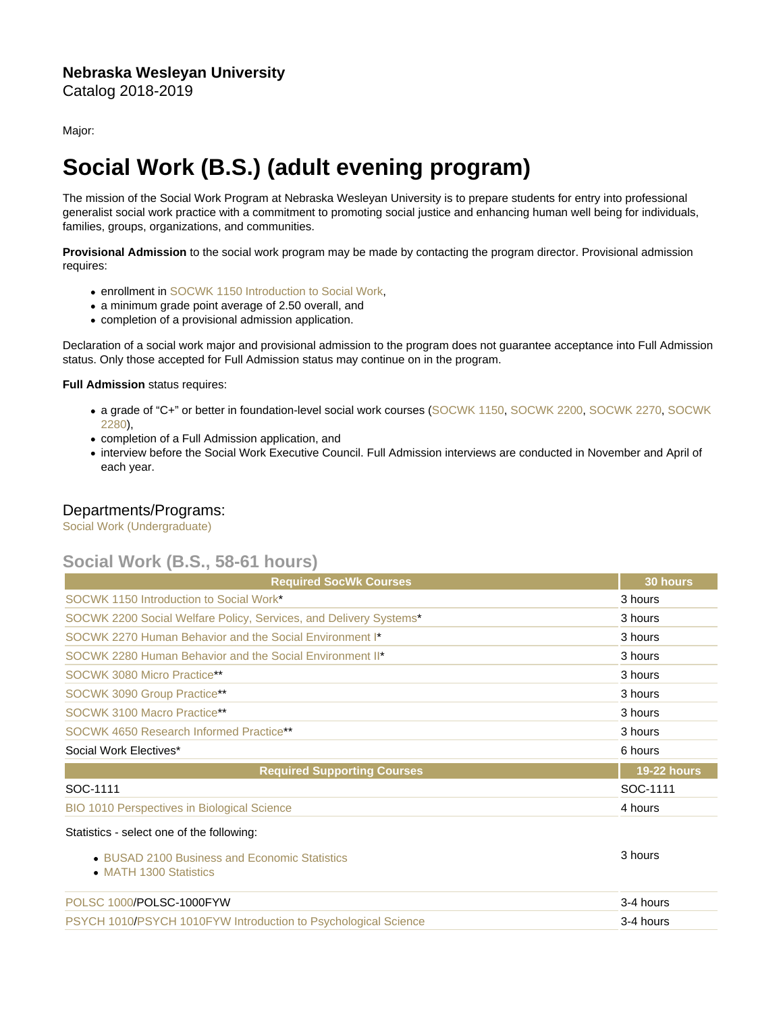Major:

## Social Work (B.S.) (adult evening program)

The mission of the Social Work Program at Nebraska Wesleyan University is to prepare students for entry into professional generalist social work practice with a commitment to promoting social justice and enhancing human well being for individuals, families, groups, organizations, and communities.

Provisional Admission to the social work program may be made by contacting the program director. Provisional admission requires:

- **enrollment in [SOCWK 1150 Introduction to Social Work,](https://catalog.nebrwesleyan.edu/cc/2021-2022/course/360209)**
- a minimum grade point average of 2.50 overall, and
- completion of a provisional admission application.

Declaration of a social work major and provisional admission to the program does not guarantee acceptance into Full Admission status. Only those accepted for Full Admission status may continue on in the program.

Full Admission status requires:

- a grade of "C+" or better in foundation-level social work courses ([SOCWK 1150](https://catalog.nebrwesleyan.edu/cc/2021-2022/course/360209), [SOCWK 2200,](https://catalog.nebrwesleyan.edu/cc/2021-2022/course/360210) [SOCWK 2270](https://catalog.nebrwesleyan.edu/cc/2021-2022/course/360211), [SOCWK](https://catalog.nebrwesleyan.edu/cc/2021-2022/course/360212) [2280](https://catalog.nebrwesleyan.edu/cc/2021-2022/course/360212)),
- completion of a Full Admission application, and
- interview before the Social Work Executive Council. Full Admission interviews are conducted in November and April of each year.

## Departments/Programs:

[Social Work \(Undergraduate\)](https://catalog.nebrwesleyan.edu/cc/2018-2019/department/330866)

## Social Work (B.S., 58-61 hours)

| <b>Required SocWk Courses</b>                                           | 30 hours           |
|-------------------------------------------------------------------------|--------------------|
| SOCWK 1150 Introduction to Social Work*                                 | 3 hours            |
| SOCWK 2200 Social Welfare Policy, Services, and Delivery Systems*       | 3 hours            |
| SOCWK 2270 Human Behavior and the Social Environment I*                 | 3 hours            |
| SOCWK 2280 Human Behavior and the Social Environment II*                | 3 hours            |
| SOCWK 3080 Micro Practice**                                             | 3 hours            |
| SOCWK 3090 Group Practice**                                             | 3 hours            |
| SOCWK 3100 Macro Practice**                                             | 3 hours            |
| SOCWK 4650 Research Informed Practice**                                 | 3 hours            |
| Social Work Electives*                                                  | 6 hours            |
| <b>Required Supporting Courses</b>                                      | <b>19-22 hours</b> |
| SOC-1111                                                                | SOC-1111           |
| BIO 1010 Perspectives in Biological Science                             | 4 hours            |
| Statistics - select one of the following:                               |                    |
| • BUSAD 2100 Business and Economic Statistics<br>• MATH 1300 Statistics | 3 hours            |
| POLSC 1000/POLSC-1000FYW                                                | 3-4 hours          |
| PSYCH 1010/PSYCH 1010FYW Introduction to Psychological Science          | 3-4 hours          |